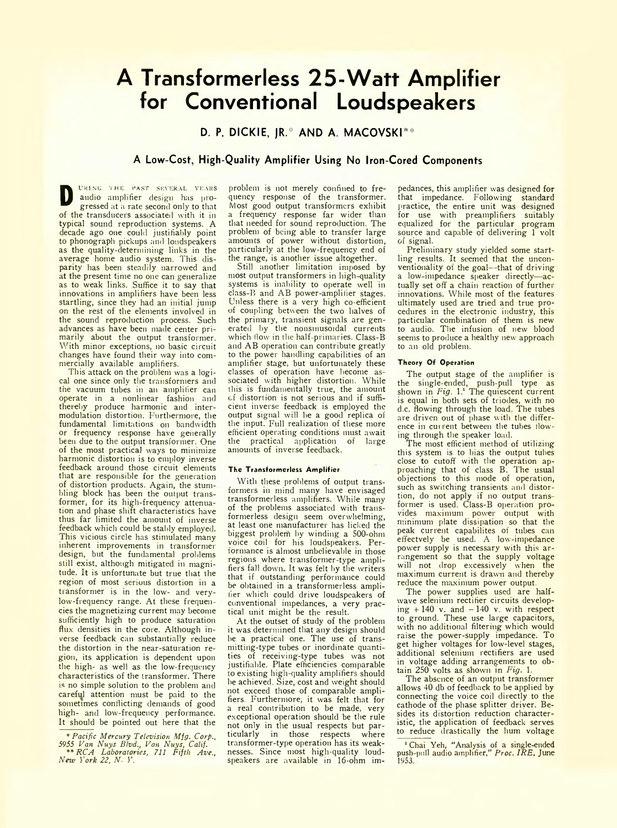# **A Transformerless 25-W att Amplifier for Conventional Loudspeakers**

**D. P. DICKIE, JR.\* AND A. MACOVSKI\*\*** 

# **A Low-Cost, High-Quality Amplifier Using No Iron-Cored Components**

**D** *URING THE PAST SEVERAL YEARS* audio amplifier design has progressed at a rate second only to that of the transducers associated with it in typical sound reproduction systems. A decade ago one could justifiably point to phonograph pickups and loudspeakers as the quality-determining links in the average home audio system. This disparity has been steadily narrowed and at the present time no one can generalize as to weak links. Suffice it to say that innovations in amplifiers have been less startling, since they had an initial jump on the rest of the elements involved in the sound reproduction process. Such advances as have been made center primarily about the output transformer. With minor exceptions, no basic circuit changes have found their way into commercially available amplifiers.

This attack on the problem was a logical one since only the transformers and the vacuum tubes in an amplifier can operate in a nonlinear fashion and thereby produce harmonic and intermodulation distortion. Furthermore, the fundamental limitations on bandwidth or frequency response have generally been due to the output transformer. One of the most practical ways to minimize harmonic distortion is to employ inverse feedback around those circuit elements that are responsible for the generation of distortion products. Again, the stumbling block has been the output transformer, for its high-frequency attenuation and phase shift characteristics have thus far limited the amount of inverse feedback which could be stably employed, This vicious circle has stimulated many inherent improvements in transformer design, but the fundamental problems still exist, although mitigated in magnitude. It is unfortunate but true that the region of most serious distortion in a transformer is in the low- and verylow-frequency range. At these frequencies the magnetizing current may become sufficiently high to produce saturation flux densities in the core. Although inverse feedback can substantially reduce the distortion in the near-saturation region, its application is dependent upon the high- as well as the low-frequency characteristics of the transformer. There is no simple solution to the problem and careful attention must be paid to the sometimes conflicting demands of good high- and low-frequency performance. It should be pointed out here that the

problem is not merely confined to frequency response of the transformer. Most good output transformers exhibit a frequency response far wider than that needed for sound reproduction. The problem of being able to transfer large amounts of power without distortion, particularly at the low-frequency end of the range, is another issue altogether.

Still another limitation imposed by most output transformers in high-quality systems is inability to operate well in class-B and AB power-amplifier stages. Unless there is a very high co-efficient of coupling between the two halves of the primary, transient signals are generated by the nonsmusoidal currents which flow in the half-primaries. Class-B and AB operation can contribute greatly to the power handling capabilities of an amplifier stage, but unfortunately these classes of operation have become associated with higher distortion. While this is fundamentally true, the amount cf distortion is not serious and if sufficient inverse feedback is employed the output signal will he a good replica of the input. Full realization of these more efficient operating conditions must await<br>the practical application of large practical application of large amounts of inverse feedback.

### **The Transformerless Amplifier**

With these problems of output transformers in mind many have envisaged transformerless amplifiers. While many of the problems associated with transformerless design seem overwhelming, at least one manufacturer has licked the biggest problem by winding a 500-ohm voice coil for his loudspeakers. Performance is almost unbelievable in those regions where transformer-type amplifiers fall dowm It was felt by the writers that if outstanding performance could be obtained in a transformerless amplifier which could drive loudspeakers of conventional impedances, a very practical unit might be the result.

At the outset of study of the problem it was determined that any design should he a practical one. The use of transmitting-type tubes or inordinate quantities of receiving-type tubes was not justifiable. Plate efficiencies comparable to existing high-quality amplifiers should he achieved. Size, cost and weight should not exceed those of comparable amplifiers. Furthermore, it was felt that for a real contribution to be made, very exceptional operation should be the rule not only in the usual respects but par-<br>ticularly in those respects where ticularly in those respects transformer-type operation has its weaknesses. Since most high-quality loudspeakers are available in 16-ohm impedances, this amplifier was designed for that impedance. Following standard practice, the entire unit was designed for use with preamplifiers suitably equalized for the particular program source and capable of delivering 1 volt of signal.

Preliminary study yielded some startling results. It seemed that the unconventionality of the goal-that of driving a low impedance speaker directly—actually set off a chain reaction of further innovations. While most of the features ultimately used are tried and true procedures in the electronic industry, this particular combination of them is new to audio. The infusion of new blood seems to produce a healthy new approach to an old problem.

# **Theory Or Operation**

The output stage of the amplifier is the single-ended, push-pull type as shown in *Fig.* 1.<sup>1</sup> The quiescent current is equal in both sets of triodes, with no d.c. flowing through the load. The tubes are driven out of phase with the difference in current between the tubes flowing through the speaker load.

The most efficient method of utilizing this system is to bias the output tubes close to cutoff with the operation approaching that of class B. The usual objections to this mode of operation, such as switching transients and distortion, do not apply if no output transformer is used. Class-B operation provides maximum power output with minimum plate dissipation so that the peak current capabilites of tubes can effectvely be used. A low-impedance power supply is necessary with this arrangement so that the supply voltage will not drop excessively when the maximum current is drawn and thereby reduce the maximum power output.

The power supplies used are halfwave selenium rectifier circuits developing  $+140$  v. and  $-140$  v. with respect to ground. These use large capacitors, with no additional filtering which would raise the power-supply impedance. To get higher voltages for low-level stages, additional selenium rectifiers are used in voltage adding arrangements to obtain 250 volts as shown in *Fig.* 1.

The absence of an output transformer allows 40 db of feedback to be applied by connecting the voice coil directly to the cathode of the phase splitter driver. Besides its distortion reduction characteristic, the application of feedback serves to reduce drastically the hum voltage

1 Chai Yeh, "Analysis of a single-ended push pull audio amplifier," *Proc. IRE,* June 1953

<sup>\*</sup> *Pacific Mercury Television Mfg. Corp., 5955 Van Nuys Blvd., Van Nuys, Calif. \*\* RCA Laboratories, 711 Fifth Ave., New York 22, N.Y.*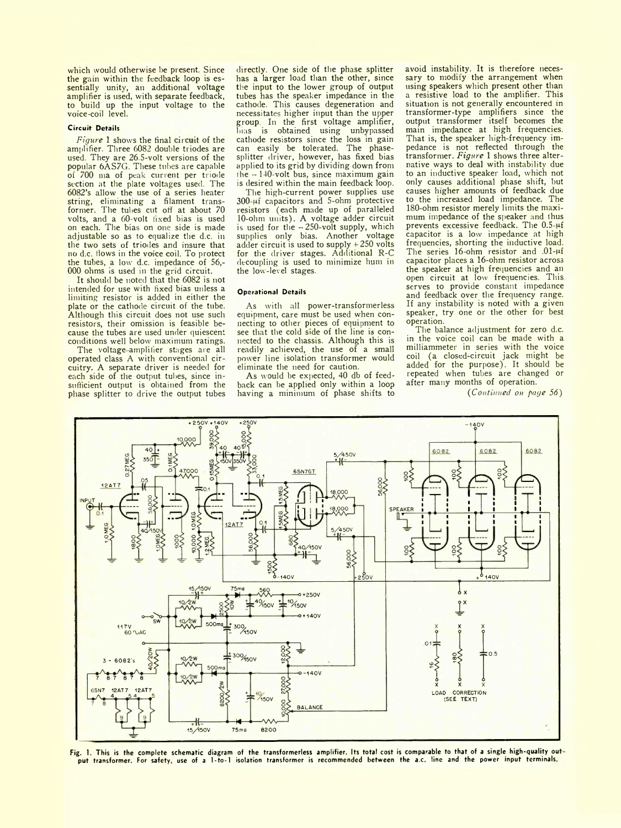which would otherwise be present. Since the gam within the feedback loop is essentially unity, an additional voltage amplifier is used, with separate feedback, to build up the input voltage to the voice-coil level.

#### **Circuit Details**

*Figure* 1 shows the final circuit of the amplifier. Three 6082 double triodes are used. They are 26.5-volt versions of the popular 6AS7G. These tubes are capable of 700 ma of peak current per triode section at the plate voltages used. The 6082's allow the use of a series heater string, eliminating a filament transformer. The tubes cut off at about 70 volts, and a 60-volt fixed bias is used on each. The bias on one side is made adjustable so as to equalize the d.c. in the two sets of triodes and insure that no d.c. flows in the voice coil. To protect the tubes, a low d.c. impedance of 56,- 000 ohms is used in the grid circuit.

It should be noted that the 6082 is not intended for use with fixed bias unless a limiting resistor is added in either the plate or the cathode circuit of the tube. Although this circuit does not use such resistors, their omission is feasible because the tubes are used under quiescent conditions well below maximum ratings.

The voltage-amplifier stages are all operated class A with conventional circuitry. A separate driver is needed for each side of the output tubes, since insufficient output is obtained from the phase splitter to drive the output tubes

directly. One side of the phase splitter has a larger load than the other, since the input to the lower group of output tubes has the speaker impedance in the cathode. This causes degeneration and necessitates higher input than the upper group. In the first voltage amplifier, bia**s is obtained using unbypassed** cathode resistors since the loss in gain can easily be tolerated. The phasesplitter driver, however, has fixed bias applied to its grid by dividing down from the  $-140$ -volt bus, since maximum gain is desired within the main feedback loop.

The high-current power supplies use  $300$ - $\mu$ f capacitors and 5-ohm protective resistors (each made up of paralleled 10-ohm units). A voltage adder circuit is used for the  $-250$ -volt supply, which supplies only bias. Another voltage adder circuit is used to supply + 250 volts for the driver stages. Additional R-C decoupling is used to minimize hum in the low-level stages.

### **Operational Details**

As with all power-transformerless equipment, care must be used when connecting to other pieces of equipment to see that the cold side of the line is connected to the chassis. Although this is readily achieved, the use of a small power line isolation transformer would eliminate the need for caution.

As would be expected, 40 db of feedback can be applied only within a loop having a minimum of phase shifts to avoid instability. It is therefore necessary to modify the arrangement when using speakers which present other than a resistive load to the amplifier. This situation is not generally encountered in transformer-type amplifiers since the output transformer itself becomes the main impedance at high frequencies. That is, the speaker high-frequency impedance is not reflected through the transformer. *Figure* 1 shows three alternative ways to deal with instability due to an inductive speaker load, which not only causes additional phase shift, but causes higher amounts of feedback due to the increased load impedance. The 180-ohm resistor merely limits the maximum impedance of the speaker and thus prevents excessive feedback. The  $0.5-\mu f$ capacitor is a low impedance at high frequencies, shorting the inductive load. The series 16-ohm resistor and .01-µf capacitor places a 16-ohm resistor across the speaker at high frequencies and an open circuit at low frequencies. This serves to provide constant impedance and feedback over the frequency range. If any instability is noted with a given speaker, try one or the other for best operation.

The balance adjustment for zero d.c. in the voice coil can be made with a milliammeter in series with the voice coil (a closed-circuit jack might be added for the purpose). It should be repeated when tubes are changed or after many months of operation.

*(Continued on page 56)*



**Fig. 1. This is the complete schematic diagram of the transformerless amplifier. Its total cost is comparable to that of a single high-quality out**put transformer. For safety, use of a 1-to-1 isolation transformer is recommended between the a.c. line and the power input terminals.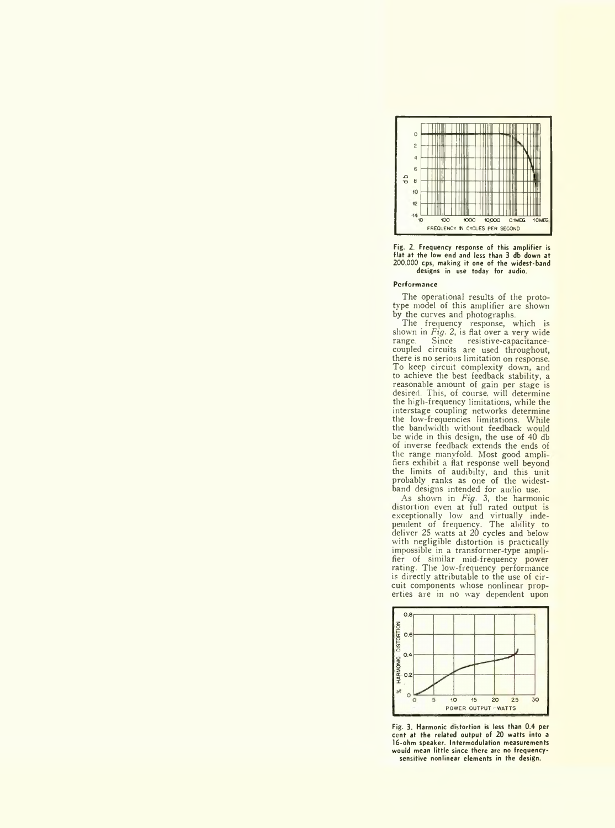

**Fig. 2. Frequency response of this amplifier is flat at the low end and less than 3 db down at 200,000 cps, making it one of the widest-band designs in use today for audio.**

#### **Performance**

The operational results of the prototype model of this amplifier are shown by the curves and photographs.

The frequency response, which is shown in *Fig.* 2, is flat over a very wide range. Since resistive-capacitancecoupled circuits are used throughout, there is no serious limitation on response. To keep circuit complexity down, and to achieve the best feedback stability, a reasonable amount of gain per stage is desired. This, of course, will determine the high-frequency limitations, while the interstage coupling networks determine the low-frequencies limitations. While the bandwidth without feedback would be wide in this design, the use of 40 db of inverse feedback extends the ends of the range manyfold. Most good amph fiers exhibit a flat response well beyond the limits of audibilty, and this unit probably ranks as one of the widestband designs intended for audio use.

As shown in *Fig.* 3, the harmonic distortion even at full rated output is exceptionally low and virtually independent of frequency. The ability to deliver 25 watts at 20 cycles and below with negligible distortion is practically impossible in a transformer-type amplifier of similar mid-frequency power rating. The low-frequency performance is directly attributable to the use of circuit components whose nonlinear properties are in no way dependent upon



**Fig. 3. Harmonic distortion is less than 0.4 per cent at the related output of 20 watts into a 16-ohm speaker. Intermodulation measurements would mean little since there are no frequencysensitive nonlinear elements in the design.**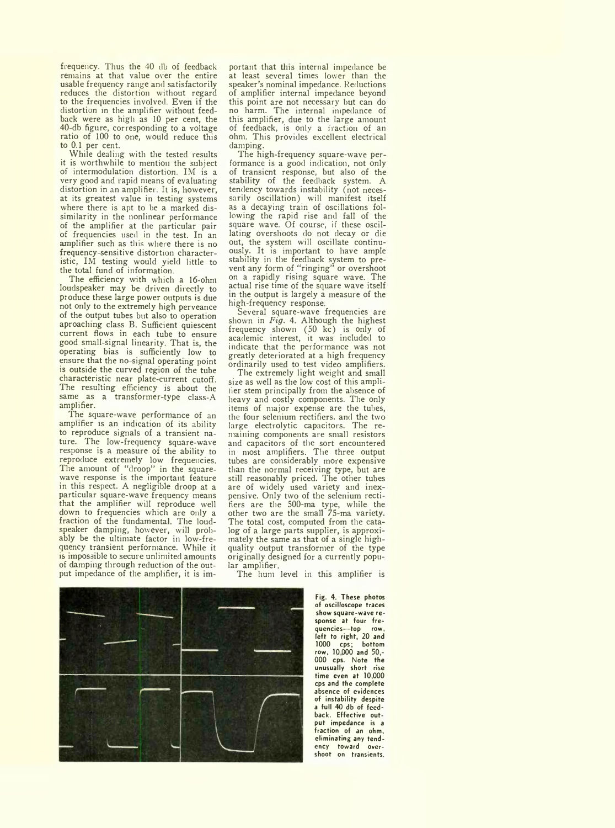frequency. Thus the 40 db of feedback remains at that value over the entire usable frequency range and satisfactorily reduces the distortion without regard to the frequencies involved. Even if the distortion in the amplifier without feedback were as high as 10 per cent, the 40-db figure, corresponding to a voltage ratio of 100 to one, would reduce this to 0.1 per cent.

While dealing with the tested results it is worthwhile to mention the subject of intermodulation distortion. IM is a very good and rapid means of evaluating distortion in an amplifier. It is, however, at its greatest value in testing systems where there is apt to be a marked dissimilarity in the nonlinear performance of the amplifier at the particular pair of frequencies used in the test. In an amplifier such as this where there is no frequency sensitive distortion characteristic, IM testing would yield little to the total fund of information.

The efficiency with which a 16-ohm loudspeaker may be driven directly to produce these large power outputs is due not only to the extremely high perveance of the output tubes but also to operation aproaching class B. Sufficient quiescent current flows in each tube to ensure good small-signal linearity. That is, the operating bias is sufficiently low to ensure that the no-signal operating point is outside the curved region of the tube characteristic near plate-current cutoff. The resulting efficiency is about the same as a transformer-type class-A amplifier.

The square-wave performance of an amplifier is an indication of its ability to reproduce signals of a transient nature. The low-frequency square-wave response is a measure of the ability to reproduce extremely low frequencies. The amount of "droop" in the squarewave response is the important feature in this respect. A negligible droop at a particular square-wave frequency means that the amplifier will reproduce well down to frequencies which are only a fraction of the fundamental. The loudspeaker damping, however, will probably be the ultimate factor in low-frequency transient performance. While it is impossible to secure unlimited amounts of damping through reduction of the output impedance of the amplifier, it is important that this internal impedance be at least several times lower than the speaker's nominal impedance. Reductions of amplifier internal impedance beyond this point are not necessary but can do no harm. The internal impedance of this amplifier, due to the large amount of feedback, is only a fraction of an ohm. This provides excellent electrical damping.

The high-frequency square-wave performance is a good indication, not only of transient response, but also of the stability of the feedback system. A tendency towards instability (not necessarily oscillation) will manifest itself as a decaying train of oscillations following the rapid rise and fall of the square wave. Of course, if these oscillating overshoots do not decay or die out, the system will oscillate continuously. It is important to have ample stability in the feedback system to prevent any form of "ringing" or overshoot on a rapidly rising square wave. The actual rise time of the square wave itself in the output is largely a measure of the high-frequency response

Several square-wave frequencies are shown in *Fig.* 4. Although the highest frequency shown (50 kc) is only of academic interest, it was included to indicate that the performance was not greatly deteriorated at a high frequency ordinarily used to test video amplifiers.

The extremely light weight and small size as well as the low cost of this amplifier stem principally from the absence of heavy and costly components. The only items of major expense are the tubes, the four selenium rectifiers, and the two large electrolytic capacitors. The remaining components are small resistors and capacitors of the sort encountered in most amplifiers. The three output tubes are considerably more expensive than the normal receiving type, but are still reasonably priced. The other tubes are of widely used variety and inexpensive. Only two of the selenium rectifiers are the 500-ma type, while the other two are the small 75-ma variety. The total cost, computed from the catalog of a large parts supplier, is approximately the same as that of a single highquality output transformer of the type originally designed for a currently popular amplifier.

The hum level in this amplifier is

**Fig. 4. These photos of oscilloscope traces show square-wave response at four frequencies— top row, left to right, 20 and 1000 cps; bottom row, 10 000 and 50,- 000 cps. Note the unusually short rise time even at 10,000 cps and the complete absence of evidences of instability despite a full 40 db of feedback. Effective output impedance is a fraction of an ohm, eliminating any tendency toward overshoot on transients.**